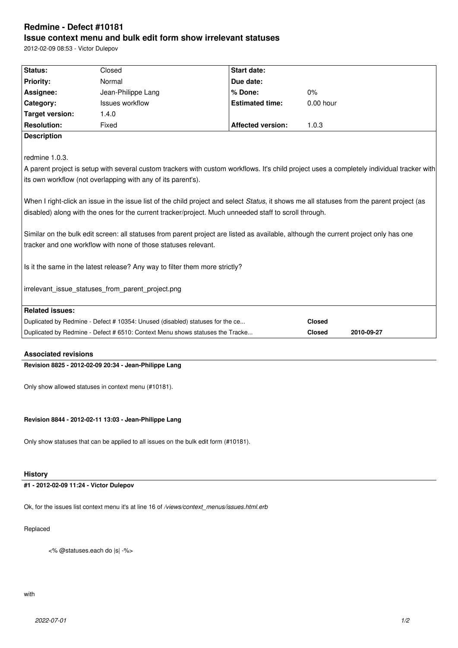# **Redmine - Defect #10181 Issue context menu and bulk edit form show irrelevant statuses**

2012-02-09 08:53 - Victor Dulepov

|                        | tracker and one workflow with none of those statuses relevant.<br>Is it the same in the latest release? Any way to filter them more strictly?<br>irrelevant issue statuses from parent project.png | Similar on the bulk edit screen: all statuses from parent project are listed as available, although the current project only has one       |             |  |
|------------------------|----------------------------------------------------------------------------------------------------------------------------------------------------------------------------------------------------|--------------------------------------------------------------------------------------------------------------------------------------------|-------------|--|
|                        |                                                                                                                                                                                                    |                                                                                                                                            |             |  |
|                        |                                                                                                                                                                                                    |                                                                                                                                            |             |  |
|                        |                                                                                                                                                                                                    |                                                                                                                                            |             |  |
|                        |                                                                                                                                                                                                    |                                                                                                                                            |             |  |
|                        |                                                                                                                                                                                                    | disabled) along with the ones for the current tracker/project. Much unneeded staff to scroll through.                                      |             |  |
|                        |                                                                                                                                                                                                    | When I right-click an issue in the issue list of the child project and select Status, it shows me all statuses from the parent project (as |             |  |
|                        | its own workflow (not overlapping with any of its parent's).                                                                                                                                       |                                                                                                                                            |             |  |
|                        |                                                                                                                                                                                                    | A parent project is setup with several custom trackers with custom workflows. It's child project uses a completely individual tracker with |             |  |
| redmine 1.0.3.         |                                                                                                                                                                                                    |                                                                                                                                            |             |  |
| <b>Description</b>     |                                                                                                                                                                                                    |                                                                                                                                            |             |  |
| <b>Resolution:</b>     | Fixed                                                                                                                                                                                              | <b>Affected version:</b>                                                                                                                   | 1.0.3       |  |
| <b>Target version:</b> | 1.4.0                                                                                                                                                                                              |                                                                                                                                            |             |  |
| Category:              | <b>Issues workflow</b>                                                                                                                                                                             | <b>Estimated time:</b>                                                                                                                     | $0.00$ hour |  |
| Assignee:              | Jean-Philippe Lang                                                                                                                                                                                 | % Done:                                                                                                                                    | 0%          |  |
|                        | Normal                                                                                                                                                                                             | Due date:                                                                                                                                  |             |  |
| <b>Priority:</b>       | Closed                                                                                                                                                                                             | <b>Start date:</b>                                                                                                                         |             |  |

### **Associated revisions**

**Revision 8825 - 2012-02-09 20:34 - Jean-Philippe Lang**

Only show allowed statuses in context menu (#10181).

**Revision 8844 - 2012-02-11 13:03 - Jean-Philippe Lang**

Only show statuses that can be applied to all issues on the bulk edit form (#10181).

## **History**

## **#1 - 2012-02-09 11:24 - Victor Dulepov**

Ok, for the issues list context menu it's at line 16 of */views/context\_menus/issues.html.erb*

#### Replaced

<% @statuses.each do |s| -%>